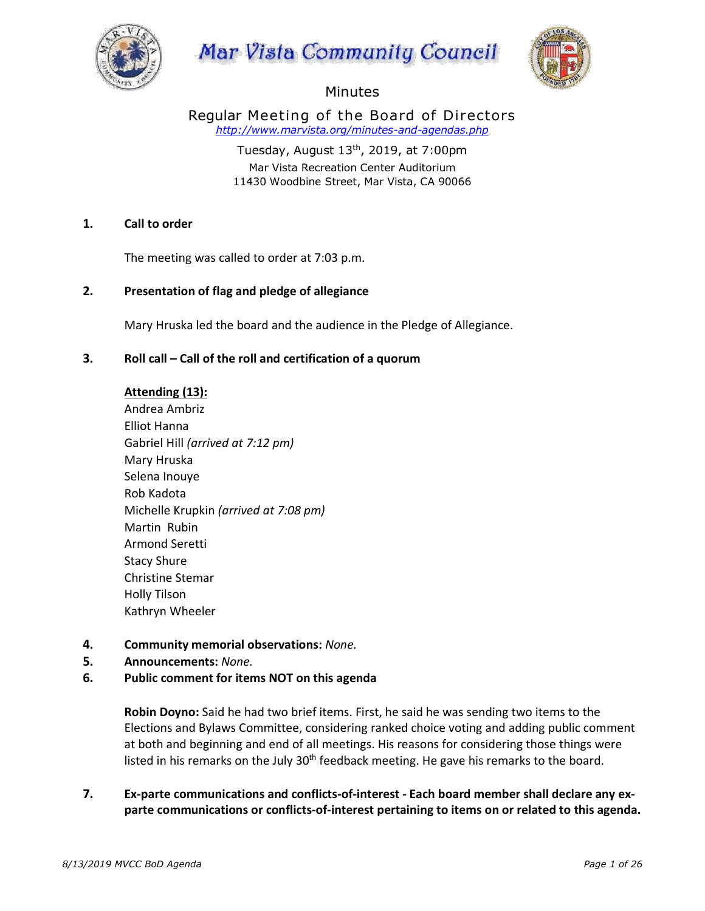





# **Minutes**

Regular Meeting of the Board of Directors *http://www.marvista.org/minutes-and-agendas.php*

> Tuesday, August  $13<sup>th</sup>$ , 2019, at 7:00pm Mar Vista Recreation Center Auditorium 11430 Woodbine Street, Mar Vista, CA 90066

# **1. Call to order**

The meeting was called to order at 7:03 p.m.

# **2. Presentation of flag and pledge of allegiance**

• Mary Hruska led the board and the audience in the Pledge of Allegiance.

### **3. Roll call – Call of the roll and certification of a quorum**

### • **Attending (13):**

• Andrea Ambriz • Elliot Hanna • Gabriel Hill *(arrived at 7:12 pm)* • Mary Hruska • Selena Inouye • Rob Kadota • Michelle Krupkin *(arrived at 7:08 pm)*  • Martin Rubin • Armond Seretti Stacy Shure • Christine Stemar • Holly Tilson • Kathryn Wheeler

### **4. Community memorial observations:** *None.*

**5. Announcements:** *None.*

# **6. Public comment for items NOT on this agenda**

• **Robin Doyno:** Said he had two brief items. First, he said he was sending two items to the Elections and Bylaws Committee, considering ranked choice voting and adding public comment at both and beginning and end of all meetings. His reasons for considering those things were listed in his remarks on the July  $30<sup>th</sup>$  feedback meeting. He gave his remarks to the board.

# **7. Ex-parte communications and conflicts-of-interest - Each board member shall declare any exparte communications or conflicts-of-interest pertaining to items on or related to this agenda.**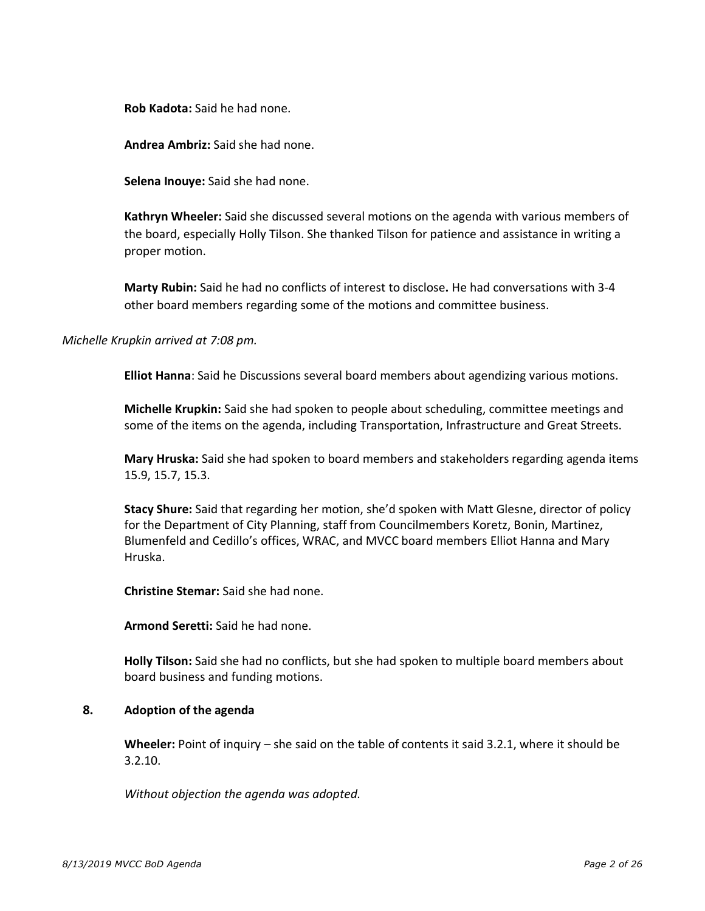• **Rob Kadota:** Said he had none.

• **Andrea Ambriz:** Said she had none.

• **Selena Inouye:** Said she had none.

• **Kathryn Wheeler:** Said she discussed several motions on the agenda with various members of the board, especially Holly Tilson. She thanked Tilson for patience and assistance in writing a proper motion.

• **Marty Rubin:** Said he had no conflicts of interest to disclose**.** He had conversations with 3-4 other board members regarding some of the motions and committee business.

### *Michelle Krupkin arrived at 7:08 pm.*

• **Elliot Hanna**: Said he Discussions several board members about agendizing various motions.

• **Michelle Krupkin:** Said she had spoken to people about scheduling, committee meetings and some of the items on the agenda, including Transportation, Infrastructure and Great Streets.

• **Mary Hruska:** Said she had spoken to board members and stakeholders regarding agenda items 15.9, 15.7, 15.3.

• **Stacy Shure:** Said that regarding her motion, she'd spoken with Matt Glesne, director of policy for the Department of City Planning, staff from Councilmembers Koretz, Bonin, Martinez, Blumenfeld and Cedillo's offices, WRAC, and MVCC board members Elliot Hanna and Mary Hruska.

• **Christine Stemar:** Said she had none.

• **Armond Seretti:** Said he had none.

• **Holly Tilson:** Said she had no conflicts, but she had spoken to multiple board members about board business and funding motions.

#### **8. Adoption of the agenda**

• **Wheeler:** Point of inquiry – she said on the table of contents it said 3.2.1, where it should be 3.2.10.

• *Without objection the agenda was adopted.*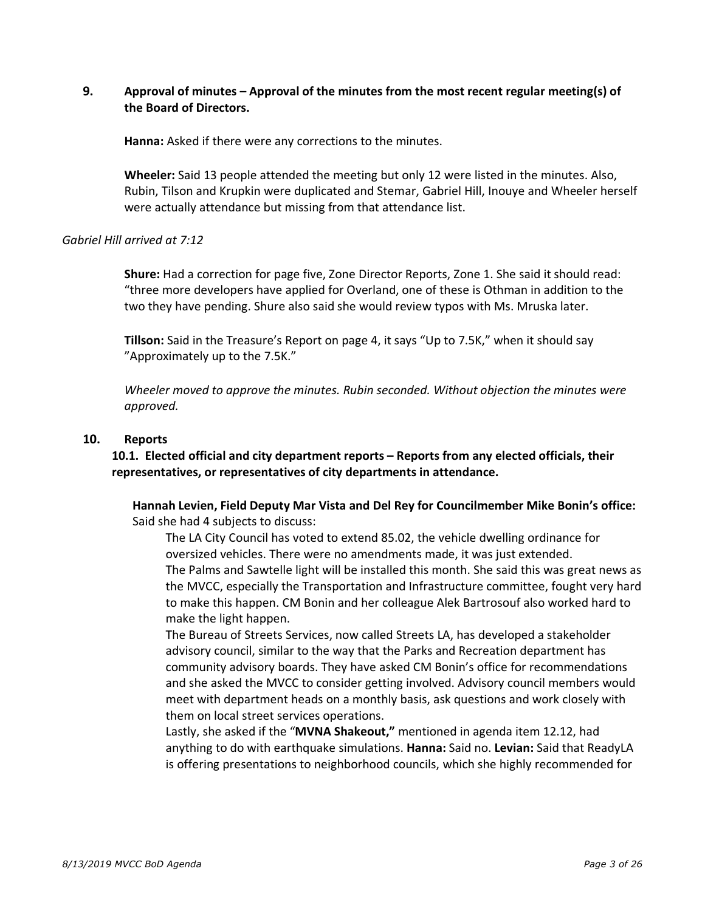# **9. Approval of minutes – Approval of the minutes from the most recent regular meeting(s) of the Board of Directors.**

• **Hanna:** Asked if there were any corrections to the minutes.

• **Wheeler:** Said 13 people attended the meeting but only 12 were listed in the minutes. Also, Rubin, Tilson and Krupkin were duplicated and Stemar, Gabriel Hill, Inouye and Wheeler herself were actually attendance but missing from that attendance list.

### *Gabriel Hill arrived at 7:12*

• **Shure:** Had a correction for page five, Zone Director Reports, Zone 1. She said it should read: "three more developers have applied for Overland, one of these is Othman in addition to the two they have pending. Shure also said she would review typos with Ms. Mruska later.

• **Tillson:** Said in the Treasure's Report on page 4, it says "Up to 7.5K," when it should say "Approximately up to the 7.5K."

• *Wheeler moved to approve the minutes. Rubin seconded. Without objection the minutes were approved.* 

### **10. Reports**

**10.1. Elected official and city department reports – Reports from any elected officials, their representatives, or representatives of city departments in attendance.** 

• **Hannah Levien, Field Deputy Mar Vista and Del Rey for Councilmember Mike Bonin's office:** Said she had 4 subjects to discuss:

The LA City Council has voted to extend 85.02, the vehicle dwelling ordinance for oversized vehicles. There were no amendments made, it was just extended. The Palms and Sawtelle light will be installed this month. She said this was great news as the MVCC, especially the Transportation and Infrastructure committee, fought very hard to make this happen. CM Bonin and her colleague Alek Bartrosouf also worked hard to make the light happen.

The Bureau of Streets Services, now called Streets LA, has developed a stakeholder advisory council, similar to the way that the Parks and Recreation department has community advisory boards. They have asked CM Bonin's office for recommendations and she asked the MVCC to consider getting involved. Advisory council members would meet with department heads on a monthly basis, ask questions and work closely with them on local street services operations.

Lastly, she asked if the "MVNA Shakeout," mentioned in agenda item 12.12, had anything to do with earthquake simulations. **Hanna:** Said no. **Levian:** Said that ReadyLA is offering presentations to neighborhood councils, which she highly recommended for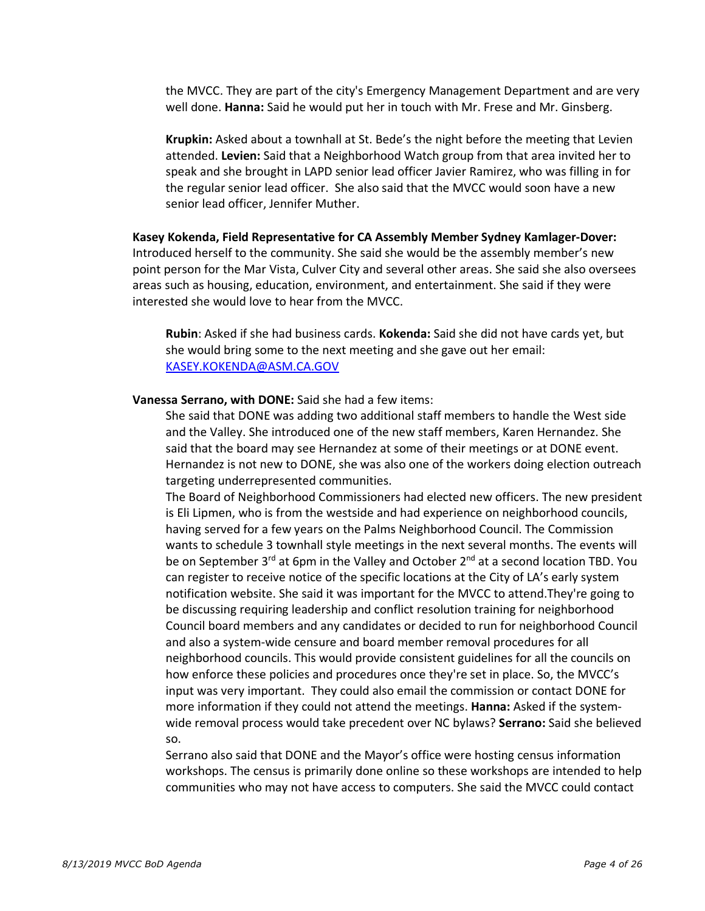the MVCC. They are part of the city's Emergency Management Department and are very well done. **Hanna:** Said he would put her in touch with Mr. Frese and Mr. Ginsberg.

Krupkin: Asked about a townhall at St. Bede's the night before the meeting that Levien attended. **Levien:** Said that a Neighborhood Watch group from that area invited her to speak and she brought in LAPD senior lead officer Javier Ramirez, who was filling in for the regular senior lead officer. She also said that the MVCC would soon have a new senior lead officer, Jennifer Muther.

# • **Kasey Kokenda, Field Representative for CA Assembly Member Sydney Kamlager-Dover:**  Introduced herself to the community. She said she would be the assembly member's new point person for the Mar Vista, Culver City and several other areas. She said she also oversees areas such as housing, education, environment, and entertainment. She said if they were interested she would love to hear from the MVCC.

Rubin: Asked if she had business cards. **Kokenda:** Said she did not have cards yet, but she would bring some to the next meeting and she gave out her email: KASEY.KOKENDA@ASM.CA.GOV

#### • **Vanessa Serrano, with DONE:** Said she had a few items:

She said that DONE was adding two additional staff members to handle the West side and the Valley. She introduced one of the new staff members, Karen Hernandez. She said that the board may see Hernandez at some of their meetings or at DONE event. Hernandez is not new to DONE, she was also one of the workers doing election outreach targeting underrepresented communities.

The Board of Neighborhood Commissioners had elected new officers. The new president is Eli Lipmen, who is from the westside and had experience on neighborhood councils, having served for a few years on the Palms Neighborhood Council. The Commission wants to schedule 3 townhall style meetings in the next several months. The events will be on September  $3^{rd}$  at 6pm in the Valley and October  $2^{nd}$  at a second location TBD. You can register to receive notice of the specific locations at the City of LA's early system notification website. She said it was important for the MVCC to attend.They're going to be discussing requiring leadership and conflict resolution training for neighborhood Council board members and any candidates or decided to run for neighborhood Council and also a system-wide censure and board member removal procedures for all neighborhood councils. This would provide consistent guidelines for all the councils on how enforce these policies and procedures once they're set in place. So, the MVCC's input was very important. They could also email the commission or contact DONE for more information if they could not attend the meetings. **Hanna:** Asked if the systemwide removal process would take precedent over NC bylaws? **Serrano:** Said she believed so.

Serrano also said that DONE and the Mayor's office were hosting census information workshops. The census is primarily done online so these workshops are intended to help communities who may not have access to computers. She said the MVCC could contact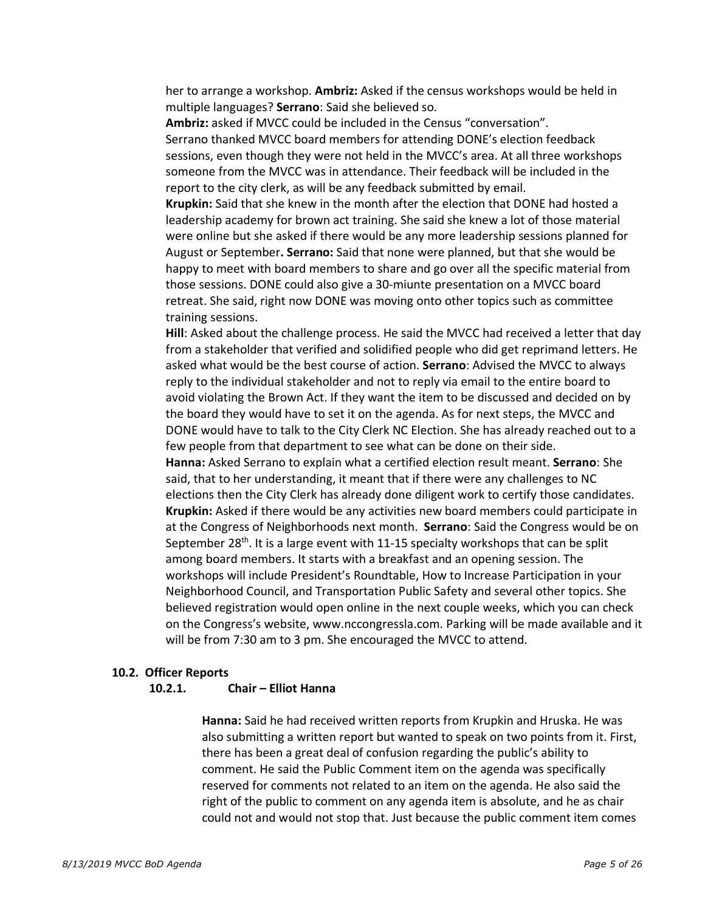her to arrange a workshop. **Ambriz:** Asked if the census workshops would be held in multiple languages? **Serrano**: Said she believed so.

Ambriz: asked if MVCC could be included in the Census "conversation". Serrano thanked MVCC board members for attending DONE's election feedback sessions, even though they were not held in the MVCC's area. At all three workshops someone from the MVCC was in attendance. Their feedback will be included in the report to the city clerk, as will be any feedback submitted by email.

**Krupkin:** Said that she knew in the month after the election that DONE had hosted a leadership academy for brown act training. She said she knew a lot of those material were online but she asked if there would be any more leadership sessions planned for August or September**. Serrano:** Said that none were planned, but that she would be happy to meet with board members to share and go over all the specific material from those sessions. DONE could also give a 30-miunte presentation on a MVCC board retreat. She said, right now DONE was moving onto other topics such as committee training sessions.

Hill: Asked about the challenge process. He said the MVCC had received a letter that day from a stakeholder that verified and solidified people who did get reprimand letters. He asked what would be the best course of action. **Serrano**: Advised the MVCC to always reply to the individual stakeholder and not to reply via email to the entire board to avoid violating the Brown Act. If they want the item to be discussed and decided on by the board they would have to set it on the agenda. As for next steps, the MVCC and DONE would have to talk to the City Clerk NC Election. She has already reached out to a few people from that department to see what can be done on their side.

o **Hanna:** Asked Serrano to explain what a certified election result meant. **Serrano**: She said, that to her understanding, it meant that if there were any challenges to NC elections then the City Clerk has already done diligent work to certify those candidates. Krupkin: Asked if there would be any activities new board members could participate in at the Congress of Neighborhoods next month. **Serrano**: Said the Congress would be on September  $28<sup>th</sup>$ . It is a large event with 11-15 specialty workshops that can be split among board members. It starts with a breakfast and an opening session. The workshops will include President's Roundtable, How to Increase Participation in your Neighborhood Council, and Transportation Public Safety and several other topics. She believed registration would open online in the next couple weeks, which you can check on the Congress's website, www.nccongressla.com. Parking will be made available and it will be from 7:30 am to 3 pm. She encouraged the MVCC to attend.

### **10.2. Officer Reports**

#### **10.2.1. Chair – Elliot Hanna**

§ **Hanna:** Said he had received written reports from Krupkin and Hruska. He was also submitting a written report but wanted to speak on two points from it. First, there has been a great deal of confusion regarding the public's ability to comment. He said the Public Comment item on the agenda was specifically reserved for comments not related to an item on the agenda. He also said the right of the public to comment on any agenda item is absolute, and he as chair could not and would not stop that. Just because the public comment item comes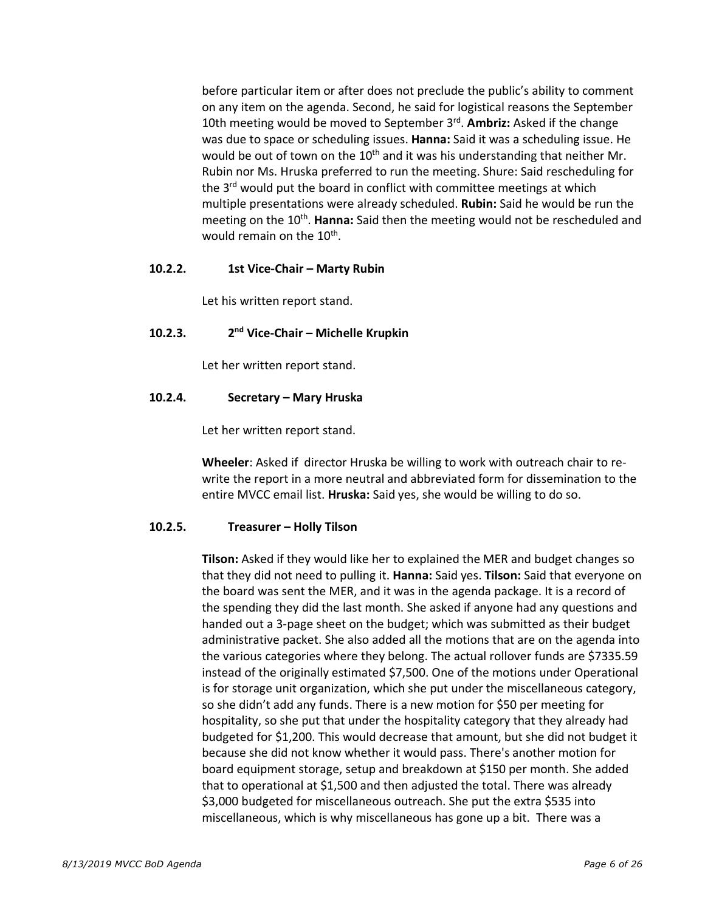before particular item or after does not preclude the public's ability to comment on any item on the agenda. Second, he said for logistical reasons the September 10th meeting would be moved to September 3rd. **Ambriz:** Asked if the change was due to space or scheduling issues. **Hanna:** Said it was a scheduling issue. He would be out of town on the  $10<sup>th</sup>$  and it was his understanding that neither Mr. Rubin nor Ms. Hruska preferred to run the meeting. Shure: Said rescheduling for the 3<sup>rd</sup> would put the board in conflict with committee meetings at which multiple presentations were already scheduled. **Rubin:** Said he would be run the meeting on the 10<sup>th</sup>. Hanna: Said then the meeting would not be rescheduled and would remain on the 10<sup>th</sup>.

### **10.2.2. 1st Vice-Chair – Marty Rubin**

Let his written report stand.

# **10.2.3. 2nd Vice-Chair – Michelle Krupkin**

Let her written report stand.

### **10.2.4. Secretary – Mary Hruska**

Let her written report stand.

§ **Wheeler**: Asked if director Hruska be willing to work with outreach chair to rewrite the report in a more neutral and abbreviated form for dissemination to the entire MVCC email list. **Hruska:** Said yes, she would be willing to do so.

### **10.2.5. Treasurer – Holly Tilson**

§ **Tilson:** Asked if they would like her to explained the MER and budget changes so that they did not need to pulling it. **Hanna:** Said yes. **Tilson:** Said that everyone on the board was sent the MER, and it was in the agenda package. It is a record of the spending they did the last month. She asked if anyone had any questions and handed out a 3-page sheet on the budget; which was submitted as their budget administrative packet. She also added all the motions that are on the agenda into the various categories where they belong. The actual rollover funds are \$7335.59 instead of the originally estimated \$7,500. One of the motions under Operational is for storage unit organization, which she put under the miscellaneous category, so she didn't add any funds. There is a new motion for \$50 per meeting for hospitality, so she put that under the hospitality category that they already had budgeted for \$1,200. This would decrease that amount, but she did not budget it because she did not know whether it would pass. There's another motion for board equipment storage, setup and breakdown at \$150 per month. She added that to operational at \$1,500 and then adjusted the total. There was already \$3,000 budgeted for miscellaneous outreach. She put the extra \$535 into miscellaneous, which is why miscellaneous has gone up a bit. There was a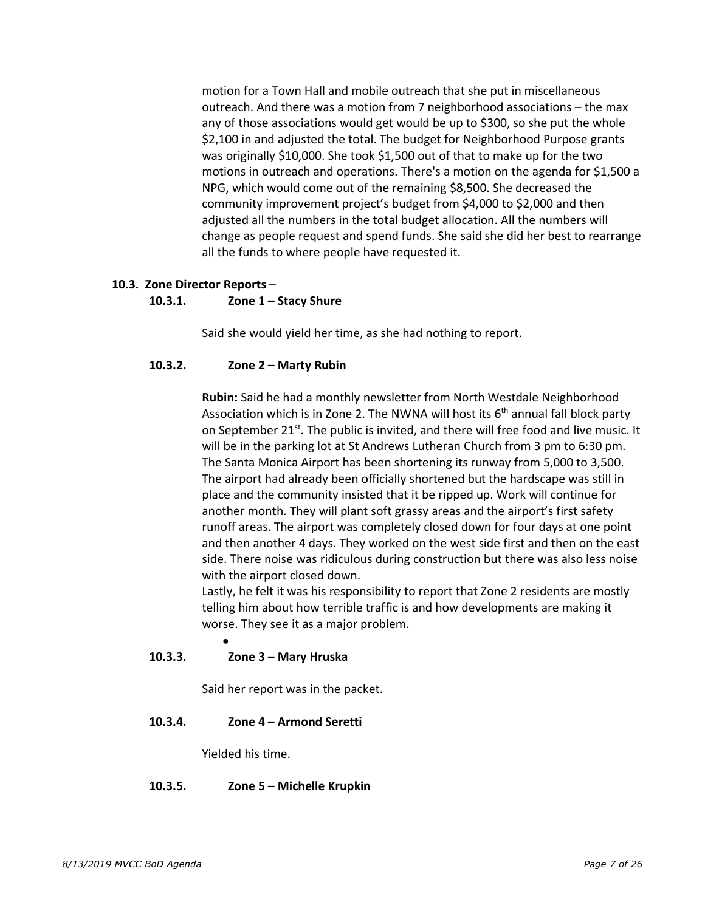motion for a Town Hall and mobile outreach that she put in miscellaneous outreach. And there was a motion from 7 neighborhood associations – the max any of those associations would get would be up to \$300, so she put the whole \$2,100 in and adjusted the total. The budget for Neighborhood Purpose grants was originally \$10,000. She took \$1,500 out of that to make up for the two motions in outreach and operations. There's a motion on the agenda for \$1,500 a NPG, which would come out of the remaining \$8,500. She decreased the community improvement project's budget from \$4,000 to \$2,000 and then adjusted all the numbers in the total budget allocation. All the numbers will change as people request and spend funds. She said she did her best to rearrange all the funds to where people have requested it.

### **10.3. Zone Director Reports** –

#### **10.3.1. Zone 1 – Stacy Shure**

Said she would yield her time, as she had nothing to report.

### **10.3.2. Zone 2 – Marty Rubin**

§ **Rubin:** Said he had a monthly newsletter from North Westdale Neighborhood Association which is in Zone 2. The NWNA will host its  $6<sup>th</sup>$  annual fall block party on September 21<sup>st</sup>. The public is invited, and there will free food and live music. It will be in the parking lot at St Andrews Lutheran Church from 3 pm to 6:30 pm. § The Santa Monica Airport has been shortening its runway from 5,000 to 3,500. The airport had already been officially shortened but the hardscape was still in place and the community insisted that it be ripped up. Work will continue for another month. They will plant soft grassy areas and the airport's first safety runoff areas. The airport was completely closed down for four days at one point and then another 4 days. They worked on the west side first and then on the east side. There noise was ridiculous during construction but there was also less noise with the airport closed down.

Lastly, he felt it was his responsibility to report that Zone 2 residents are mostly telling him about how terrible traffic is and how developments are making it worse. They see it as a major problem.

### **10.3.3. Zone 3 – Mary Hruska**

•

Said her report was in the packet.

### **10.3.4. Zone 4 – Armond Seretti**

Yielded his time.

### **10.3.5. Zone 5 – Michelle Krupkin**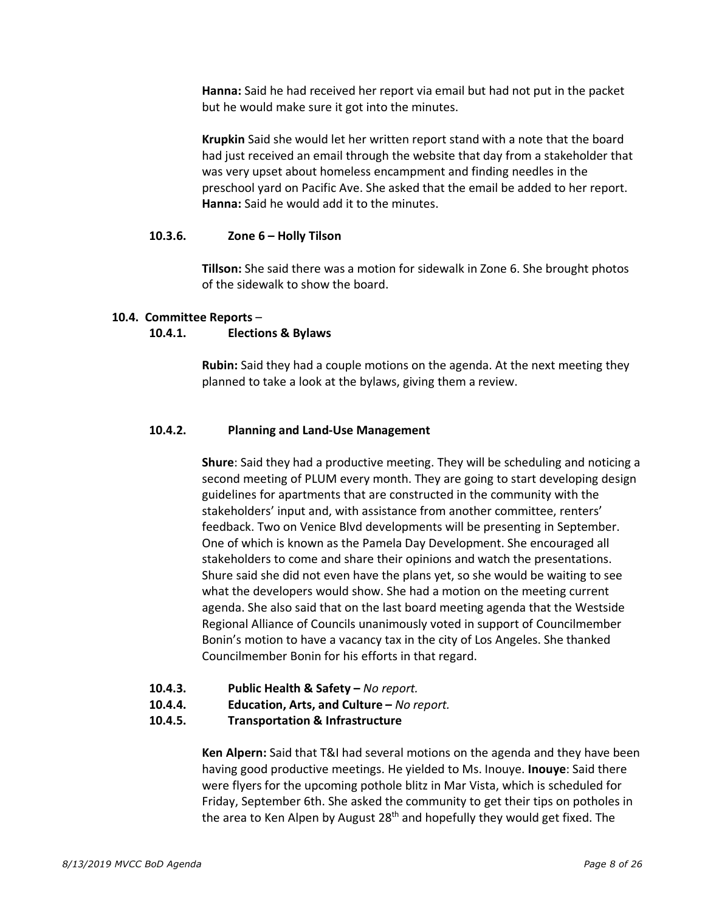§ **Hanna:** Said he had received her report via email but had not put in the packet but he would make sure it got into the minutes.

§ **Krupkin** Said she would let her written report stand with a note that the board had just received an email through the website that day from a stakeholder that was very upset about homeless encampment and finding needles in the preschool yard on Pacific Ave. She asked that the email be added to her report. **Hanna:** Said he would add it to the minutes.

#### **10.3.6. Zone 6 – Holly Tilson**

§ **Tillson:** She said there was a motion for sidewalk in Zone 6. She brought photos of the sidewalk to show the board.

#### **10.4. Committee Reports** –

#### **10.4.1. Elections & Bylaws**

§ **Rubin:** Said they had a couple motions on the agenda. At the next meeting they planned to take a look at the bylaws, giving them a review.

### **10.4.2. Planning and Land-Use Management**

§ **Shure**: Said they had a productive meeting. They will be scheduling and noticing a second meeting of PLUM every month. They are going to start developing design guidelines for apartments that are constructed in the community with the stakeholders' input and, with assistance from another committee, renters' feedback. Two on Venice Blvd developments will be presenting in September. One of which is known as the Pamela Day Development. She encouraged all stakeholders to come and share their opinions and watch the presentations. Shure said she did not even have the plans yet, so she would be waiting to see what the developers would show. She had a motion on the meeting current agenda. She also said that on the last board meeting agenda that the Westside Regional Alliance of Councils unanimously voted in support of Councilmember Bonin's motion to have a vacancy tax in the city of Los Angeles. She thanked Councilmember Bonin for his efforts in that regard.

- **10.4.3. Public Health & Safety –** *No report.*
- **10.4.4. Education, Arts, and Culture –** *No report.*
- **10.4.5. Transportation & Infrastructure**

§ **Ken Alpern:** Said that T&I had several motions on the agenda and they have been having good productive meetings. He yielded to Ms. Inouye. **Inouye**: Said there were flyers for the upcoming pothole blitz in Mar Vista, which is scheduled for Friday, September 6th. She asked the community to get their tips on potholes in the area to Ken Alpen by August  $28<sup>th</sup>$  and hopefully they would get fixed. The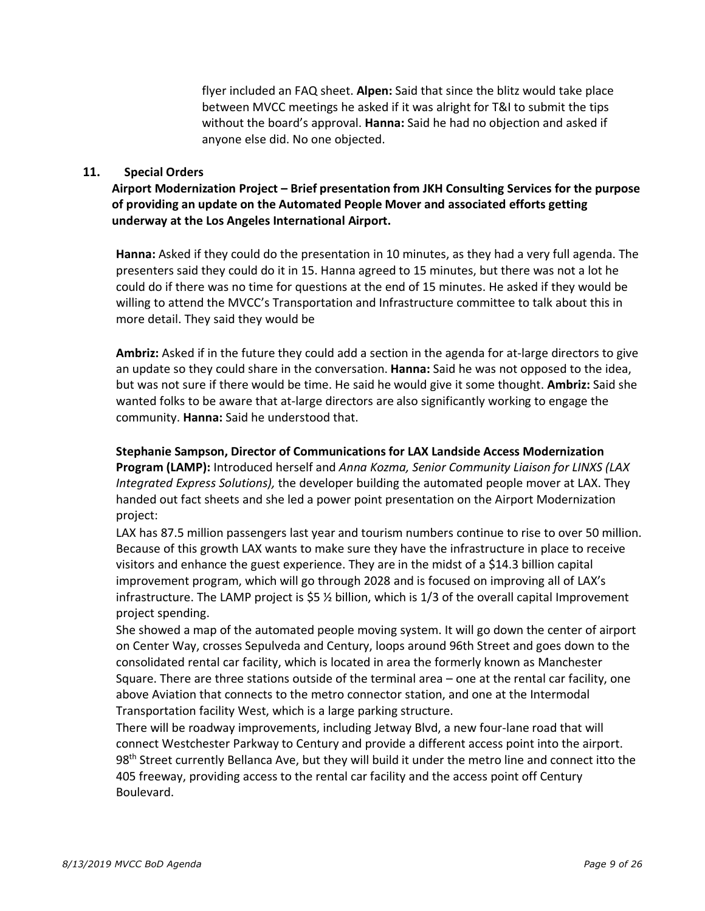flyer included an FAQ sheet. **Alpen:** Said that since the blitz would take place between MVCC meetings he asked if it was alright for T&I to submit the tips without the board's approval. **Hanna:** Said he had no objection and asked if anyone else did. No one objected.

#### **11. Special Orders**

**Airport Modernization Project – Brief presentation from JKH Consulting Services for the purpose of providing an update on the Automated People Mover and associated efforts getting underway at the Los Angeles International Airport.**

• **Hanna:** Asked if they could do the presentation in 10 minutes, as they had a very full agenda. The presenters said they could do it in 15. Hanna agreed to 15 minutes, but there was not a lot he could do if there was no time for questions at the end of 15 minutes. He asked if they would be willing to attend the MVCC's Transportation and Infrastructure committee to talk about this in more detail. They said they would be

• **Ambriz:** Asked if in the future they could add a section in the agenda for at-large directors to give an update so they could share in the conversation. **Hanna:** Said he was not opposed to the idea, but was not sure if there would be time. He said he would give it some thought. **Ambriz:** Said she wanted folks to be aware that at-large directors are also significantly working to engage the community. **Hanna:** Said he understood that.

#### • **Stephanie Sampson, Director of Communications for LAX Landside Access Modernization**

**Program (LAMP):** Introduced herself and *Anna Kozma, Senior Community Liaison for LINXS (LAX Integrated Express Solutions),* the developer building the automated people mover at LAX. They handed out fact sheets and she led a power point presentation on the Airport Modernization project:

LAX has 87.5 million passengers last year and tourism numbers continue to rise to over 50 million. Because of this growth LAX wants to make sure they have the infrastructure in place to receive visitors and enhance the guest experience. They are in the midst of a \$14.3 billion capital improvement program, which will go through 2028 and is focused on improving all of LAX's infrastructure. The LAMP project is  $$5\%$  billion, which is 1/3 of the overall capital Improvement project spending.

• She showed a map of the automated people moving system. It will go down the center of airport on Center Way, crosses Sepulveda and Century, loops around 96th Street and goes down to the consolidated rental car facility, which is located in area the formerly known as Manchester Square. There are three stations outside of the terminal area – one at the rental car facility, one above Aviation that connects to the metro connector station, and one at the Intermodal Transportation facility West, which is a large parking structure.

• There will be roadway improvements, including Jetway Blvd, a new four-lane road that will connect Westchester Parkway to Century and provide a different access point into the airport. 98<sup>th</sup> Street currently Bellanca Ave, but they will build it under the metro line and connect itto the 405 freeway, providing access to the rental car facility and the access point off Century Boulevard.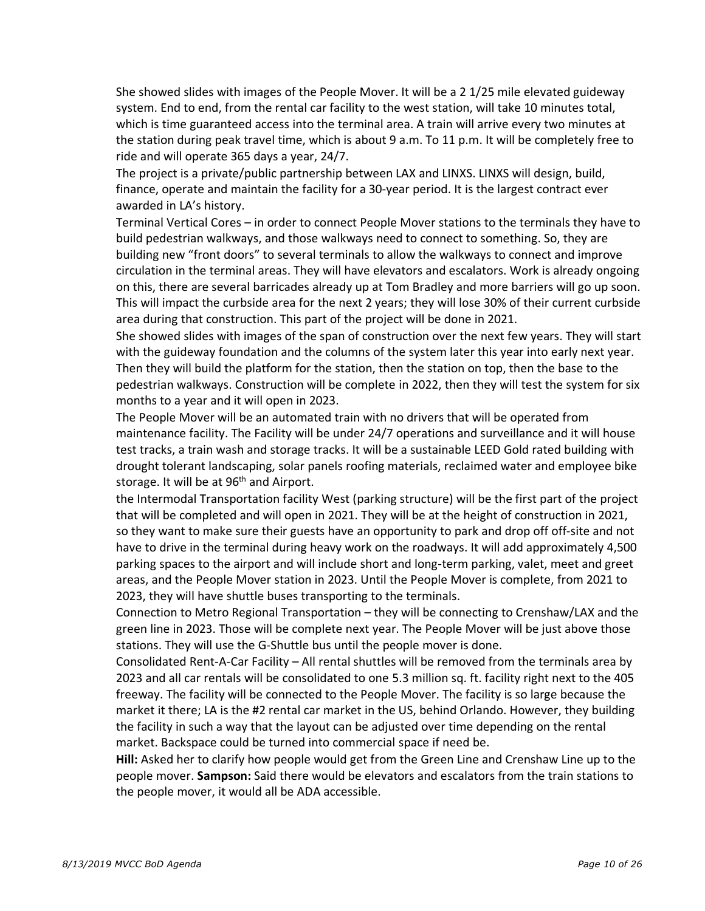• She showed slides with images of the People Mover. It will be a 2 1/25 mile elevated guideway system. End to end, from the rental car facility to the west station, will take 10 minutes total, which is time guaranteed access into the terminal area. A train will arrive every two minutes at the station during peak travel time, which is about 9 a.m. To 11 p.m. It will be completely free to ride and will operate 365 days a year, 24/7.

• The project is a private/public partnership between LAX and LINXS. LINXS will design, build, finance, operate and maintain the facility for a 30-year period. It is the largest contract ever awarded in LA's history.

• Terminal Vertical Cores – in order to connect People Mover stations to the terminals they have to build pedestrian walkways, and those walkways need to connect to something. So, they are building new "front doors" to several terminals to allow the walkways to connect and improve circulation in the terminal areas. They will have elevators and escalators. Work is already ongoing on this, there are several barricades already up at Tom Bradley and more barriers will go up soon. This will impact the curbside area for the next 2 years; they will lose 30% of their current curbside area during that construction. This part of the project will be done in 2021.

• She showed slides with images of the span of construction over the next few years. They will start with the guideway foundation and the columns of the system later this year into early next year. Then they will build the platform for the station, then the station on top, then the base to the pedestrian walkways. Construction will be complete in 2022, then they will test the system for six months to a year and it will open in 2023.

The People Mover will be an automated train with no drivers that will be operated from maintenance facility. The Facility will be under 24/7 operations and surveillance and it will house test tracks, a train wash and storage tracks. It will be a sustainable LEED Gold rated building with drought tolerant landscaping, solar panels roofing materials, reclaimed water and employee bike storage. It will be at 96<sup>th</sup> and Airport.

• the Intermodal Transportation facility West (parking structure) will be the first part of the project that will be completed and will open in 2021. They will be at the height of construction in 2021, so they want to make sure their guests have an opportunity to park and drop off off-site and not have to drive in the terminal during heavy work on the roadways. It will add approximately 4,500 parking spaces to the airport and will include short and long-term parking, valet, meet and greet areas, and the People Mover station in 2023. Until the People Mover is complete, from 2021 to 2023, they will have shuttle buses transporting to the terminals.

• Connection to Metro Regional Transportation – they will be connecting to Crenshaw/LAX and the green line in 2023. Those will be complete next year. The People Mover will be just above those stations. They will use the G-Shuttle bus until the people mover is done.

• Consolidated Rent-A-Car Facility – All rental shuttles will be removed from the terminals area by 2023 and all car rentals will be consolidated to one 5.3 million sq. ft. facility right next to the 405 freeway. The facility will be connected to the People Mover. The facility is so large because the market it there; LA is the #2 rental car market in the US, behind Orlando. However, they building the facility in such a way that the layout can be adjusted over time depending on the rental market. Backspace could be turned into commercial space if need be.

• **Hill:** Asked her to clarify how people would get from the Green Line and Crenshaw Line up to the people mover. **Sampson:** Said there would be elevators and escalators from the train stations to the people mover, it would all be ADA accessible.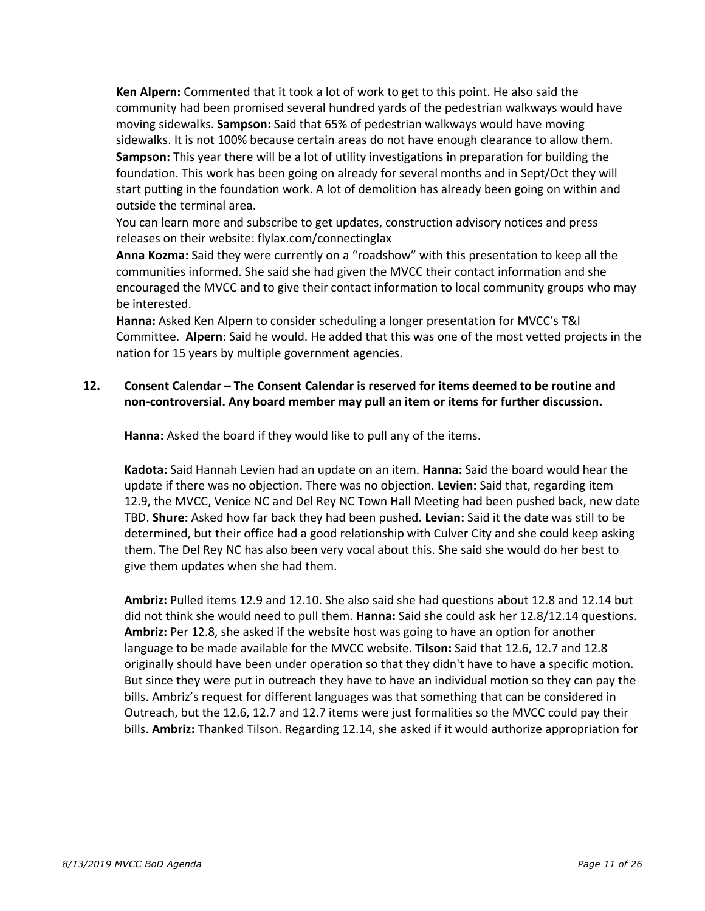• **Ken Alpern:** Commented that it took a lot of work to get to this point. He also said the community had been promised several hundred yards of the pedestrian walkways would have moving sidewalks. **Sampson:** Said that 65% of pedestrian walkways would have moving sidewalks. It is not 100% because certain areas do not have enough clearance to allow them. • **Sampson:** This year there will be a lot of utility investigations in preparation for building the foundation. This work has been going on already for several months and in Sept/Oct they will start putting in the foundation work. A lot of demolition has already been going on within and outside the terminal area.

• You can learn more and subscribe to get updates, construction advisory notices and press releases on their website: flylax.com/connectinglax

• **Anna Kozma:** Said they were currently on a "roadshow" with this presentation to keep all the communities informed. She said she had given the MVCC their contact information and she encouraged the MVCC and to give their contact information to local community groups who may be interested.

• **Hanna:** Asked Ken Alpern to consider scheduling a longer presentation for MVCC's T&I Committee. **Alpern:** Said he would. He added that this was one of the most vetted projects in the nation for 15 years by multiple government agencies.

# **12. Consent Calendar – The Consent Calendar is reserved for items deemed to be routine and non-controversial. Any board member may pull an item or items for further discussion.**

• **Hanna:** Asked the board if they would like to pull any of the items.

• **Kadota:** Said Hannah Levien had an update on an item. **Hanna:** Said the board would hear the update if there was no objection. There was no objection. **Levien:** Said that, regarding item 12.9, the MVCC, Venice NC and Del Rey NC Town Hall Meeting had been pushed back, new date TBD. **Shure:** Asked how far back they had been pushed**. Levian:** Said it the date was still to be determined, but their office had a good relationship with Culver City and she could keep asking them. The Del Rey NC has also been very vocal about this. She said she would do her best to give them updates when she had them.

• **Ambriz:** Pulled items 12.9 and 12.10. She also said she had questions about 12.8 and 12.14 but did not think she would need to pull them. **Hanna:** Said she could ask her 12.8/12.14 questions. **Ambriz:** Per 12.8, she asked if the website host was going to have an option for another language to be made available for the MVCC website. **Tilson:** Said that 12.6, 12.7 and 12.8 originally should have been under operation so that they didn't have to have a specific motion. But since they were put in outreach they have to have an individual motion so they can pay the bills. Ambriz's request for different languages was that something that can be considered in Outreach, but the 12.6, 12.7 and 12.7 items were just formalities so the MVCC could pay their bills. **Ambriz:** Thanked Tilson. Regarding 12.14, she asked if it would authorize appropriation for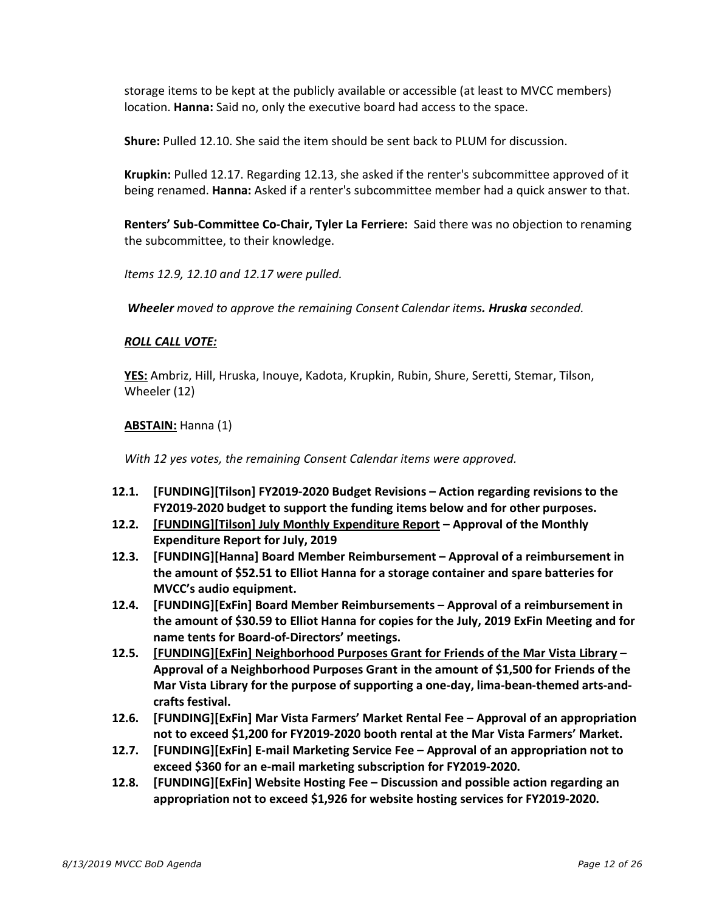storage items to be kept at the publicly available or accessible (at least to MVCC members) location. **Hanna:** Said no, only the executive board had access to the space.

• **Shure:** Pulled 12.10. She said the item should be sent back to PLUM for discussion.

• **Krupkin:** Pulled 12.17. Regarding 12.13, she asked if the renter's subcommittee approved of it being renamed. **Hanna:** Asked if a renter's subcommittee member had a quick answer to that.

• **Renters' Sub-Committee Co-Chair, Tyler La Ferriere:** Said there was no objection to renaming the subcommittee, to their knowledge.

• *Items 12.9, 12.10 and 12.17 were pulled.*

• *Wheeler moved to approve the remaining Consent Calendar items. Hruska seconded.*

### • *ROLL CALL VOTE:*

• **YES:** Ambriz, Hill, Hruska, Inouye, Kadota, Krupkin, Rubin, Shure, Seretti, Stemar, Tilson, Wheeler (12)

### • **ABSTAIN:** Hanna (1)

• *With 12 yes votes, the remaining Consent Calendar items were approved.*

- **12.1. [FUNDING][Tilson] FY2019-2020 Budget Revisions – Action regarding revisions to the FY2019-2020 budget to support the funding items below and for other purposes.**
- **12.2. [FUNDING][Tilson] July Monthly Expenditure Report – Approval of the Monthly Expenditure Report for July, 2019**
- **12.3. [FUNDING][Hanna] Board Member Reimbursement – Approval of a reimbursement in the amount of \$52.51 to Elliot Hanna for a storage container and spare batteries for MVCC's audio equipment.**
- **12.4. [FUNDING][ExFin] Board Member Reimbursements – Approval of a reimbursement in the amount of \$30.59 to Elliot Hanna for copies for the July, 2019 ExFin Meeting and for name tents for Board-of-Directors' meetings.**
- **12.5. [FUNDING][ExFin] Neighborhood Purposes Grant for Friends of the Mar Vista Library – Approval of a Neighborhood Purposes Grant in the amount of \$1,500 for Friends of the Mar Vista Library for the purpose of supporting a one-day, lima-bean-themed arts-andcrafts festival.**
- **12.6. [FUNDING][ExFin] Mar Vista Farmers' Market Rental Fee – Approval of an appropriation not to exceed \$1,200 for FY2019-2020 booth rental at the Mar Vista Farmers' Market.**
- **12.7. [FUNDING][ExFin] E-mail Marketing Service Fee – Approval of an appropriation not to exceed \$360 for an e-mail marketing subscription for FY2019-2020.**
- **12.8. [FUNDING][ExFin] Website Hosting Fee – Discussion and possible action regarding an appropriation not to exceed \$1,926 for website hosting services for FY2019-2020.**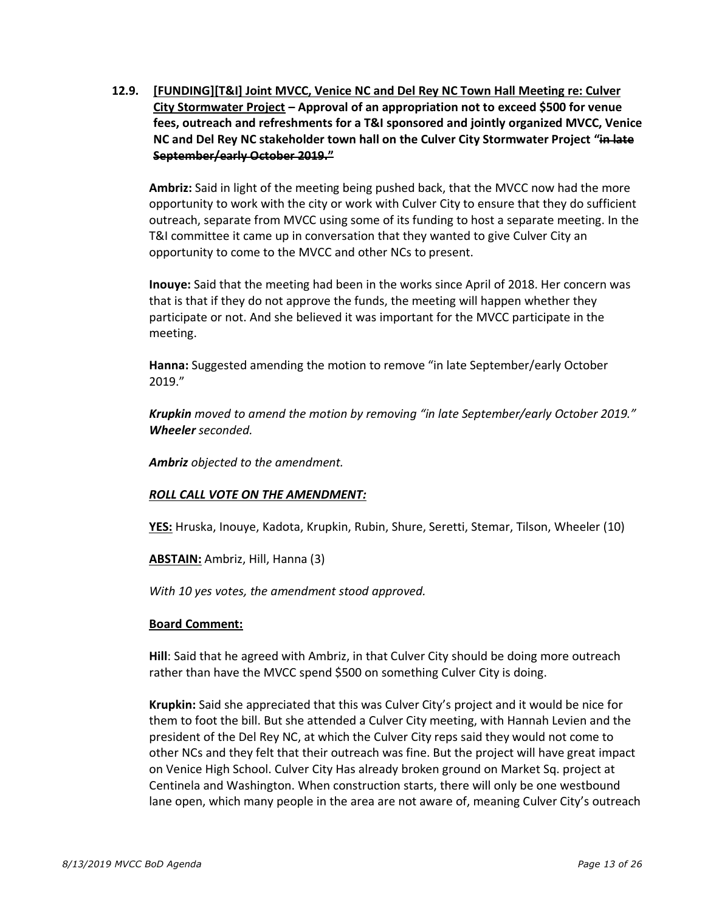**12.9. [FUNDING][T&I] Joint MVCC, Venice NC and Del Rey NC Town Hall Meeting re: Culver City Stormwater Project – Approval of an appropriation not to exceed \$500 for venue fees, outreach and refreshments for a T&I sponsored and jointly organized MVCC, Venice NC and Del Rey NC stakeholder town hall on the Culver City Stormwater Project "in late September/early October 2019."**

Ambriz: Said in light of the meeting being pushed back, that the MVCC now had the more opportunity to work with the city or work with Culver City to ensure that they do sufficient outreach, separate from MVCC using some of its funding to host a separate meeting. In the T&I committee it came up in conversation that they wanted to give Culver City an opportunity to come to the MVCC and other NCs to present.

Inouye: Said that the meeting had been in the works since April of 2018. Her concern was that is that if they do not approve the funds, the meeting will happen whether they participate or not. And she believed it was important for the MVCC participate in the meeting.

Hanna: Suggested amending the motion to remove "in late September/early October 2019."

o *Krupkin moved to amend the motion by removing "in late September/early October 2019." Wheeler seconded.* 

Ambriz *objected* to the amendment.

### **ROLL CALL VOTE ON THE AMENDMENT:**

**YES:** Hruska, Inouye, Kadota, Krupkin, Rubin, Shure, Seretti, Stemar, Tilson, Wheeler (10)

ABSTAIN: Ambriz, Hill, Hanna (3)

With 10 yes votes, the amendment stood approved.

### **Board Comment:**

Hill: Said that he agreed with Ambriz, in that Culver City should be doing more outreach rather than have the MVCC spend \$500 on something Culver City is doing.

**Krupkin:** Said she appreciated that this was Culver City's project and it would be nice for them to foot the bill. But she attended a Culver City meeting, with Hannah Levien and the president of the Del Rey NC, at which the Culver City reps said they would not come to other NCs and they felt that their outreach was fine. But the project will have great impact on Venice High School. Culver City Has already broken ground on Market Sq. project at Centinela and Washington. When construction starts, there will only be one westbound lane open, which many people in the area are not aware of, meaning Culver City's outreach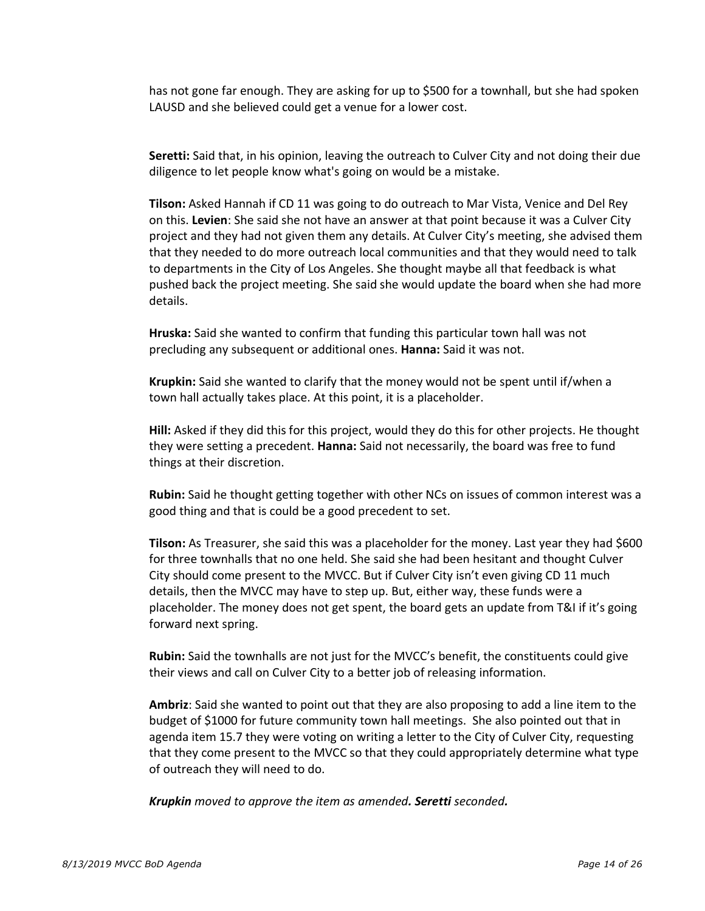has not gone far enough. They are asking for up to \$500 for a townhall, but she had spoken LAUSD and she believed could get a venue for a lower cost.

Seretti: Said that, in his opinion, leaving the outreach to Culver City and not doing their due diligence to let people know what's going on would be a mistake.

**Tilson:** Asked Hannah if CD 11 was going to do outreach to Mar Vista, Venice and Del Rey on this. **Levien**: She said she not have an answer at that point because it was a Culver City project and they had not given them any details. At Culver City's meeting, she advised them that they needed to do more outreach local communities and that they would need to talk to departments in the City of Los Angeles. She thought maybe all that feedback is what pushed back the project meeting. She said she would update the board when she had more details.

Hruska: Said she wanted to confirm that funding this particular town hall was not precluding any subsequent or additional ones. **Hanna:** Said it was not.

Krupkin: Said she wanted to clarify that the money would not be spent until if/when a town hall actually takes place. At this point, it is a placeholder.

Hill: Asked if they did this for this project, would they do this for other projects. He thought they were setting a precedent. **Hanna:** Said not necessarily, the board was free to fund things at their discretion.

**Rubin:** Said he thought getting together with other NCs on issues of common interest was a good thing and that is could be a good precedent to set.

Tilson: As Treasurer, she said this was a placeholder for the money. Last year they had \$600 for three townhalls that no one held. She said she had been hesitant and thought Culver City should come present to the MVCC. But if Culver City isn't even giving CD 11 much details, then the MVCC may have to step up. But, either way, these funds were a placeholder. The money does not get spent, the board gets an update from T&I if it's going forward next spring.

**Rubin:** Said the townhalls are not just for the MVCC's benefit, the constituents could give their views and call on Culver City to a better job of releasing information.

Ambriz: Said she wanted to point out that they are also proposing to add a line item to the budget of \$1000 for future community town hall meetings. She also pointed out that in agenda item 15.7 they were voting on writing a letter to the City of Culver City, requesting that they come present to the MVCC so that they could appropriately determine what type of outreach they will need to do.

o *Krupkin moved to approve the item as amended. Seretti seconded.*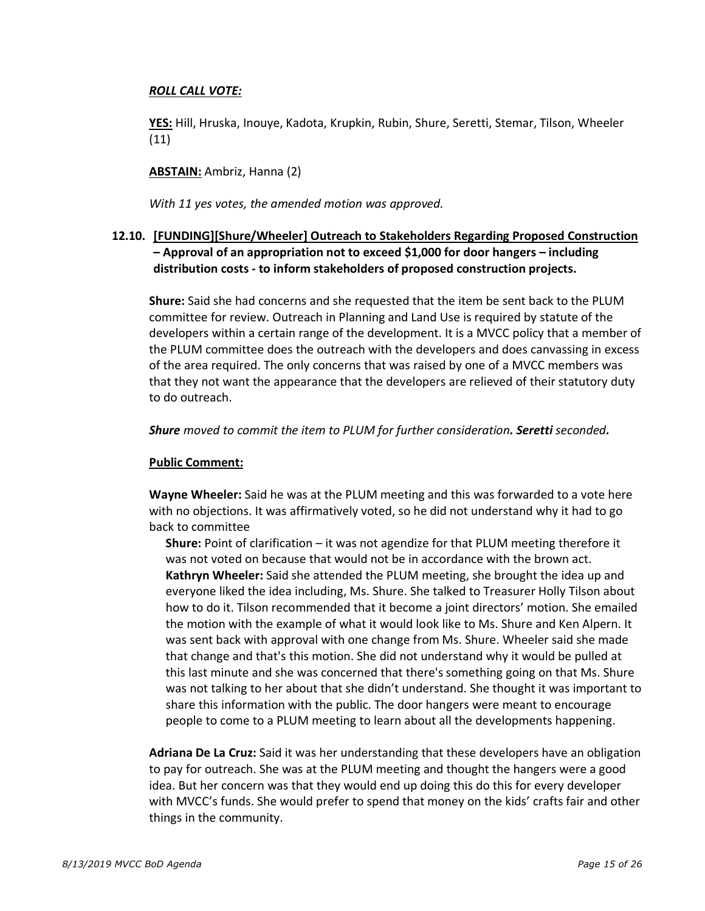### o *ROLL CALL VOTE:*

o **YES:** Hill, Hruska, Inouye, Kadota, Krupkin, Rubin, Shure, Seretti, Stemar, Tilson, Wheeler (11)

o **ABSTAIN:** Ambriz, Hanna (2)

With 11 yes votes, the amended motion was approved.

# **12.10. [FUNDING][Shure/Wheeler] Outreach to Stakeholders Regarding Proposed Construction – Approval of an appropriation not to exceed \$1,000 for door hangers – including distribution costs - to inform stakeholders of proposed construction projects.**

**Shure:** Said she had concerns and she requested that the item be sent back to the PLUM committee for review. Outreach in Planning and Land Use is required by statute of the developers within a certain range of the development. It is a MVCC policy that a member of the PLUM committee does the outreach with the developers and does canvassing in excess of the area required. The only concerns that was raised by one of a MVCC members was that they not want the appearance that the developers are relieved of their statutory duty to do outreach.

o *Shure moved to commit the item to PLUM for further consideration. Seretti seconded.* 

### **Public Comment:**

**Wayne Wheeler:** Said he was at the PLUM meeting and this was forwarded to a vote here with no objections. It was affirmatively voted, so he did not understand why it had to go back to committee

§ **Shure:** Point of clarification – it was not agendize for that PLUM meeting therefore it was not voted on because that would not be in accordance with the brown act. Kathryn Wheeler: Said she attended the PLUM meeting, she brought the idea up and everyone liked the idea including, Ms. Shure. She talked to Treasurer Holly Tilson about how to do it. Tilson recommended that it become a joint directors' motion. She emailed the motion with the example of what it would look like to Ms. Shure and Ken Alpern. It was sent back with approval with one change from Ms. Shure. Wheeler said she made that change and that's this motion. She did not understand why it would be pulled at this last minute and she was concerned that there's something going on that Ms. Shure was not talking to her about that she didn't understand. She thought it was important to share this information with the public. The door hangers were meant to encourage people to come to a PLUM meeting to learn about all the developments happening.

Adriana De La Cruz: Said it was her understanding that these developers have an obligation to pay for outreach. She was at the PLUM meeting and thought the hangers were a good idea. But her concern was that they would end up doing this do this for every developer with MVCC's funds. She would prefer to spend that money on the kids' crafts fair and other things in the community.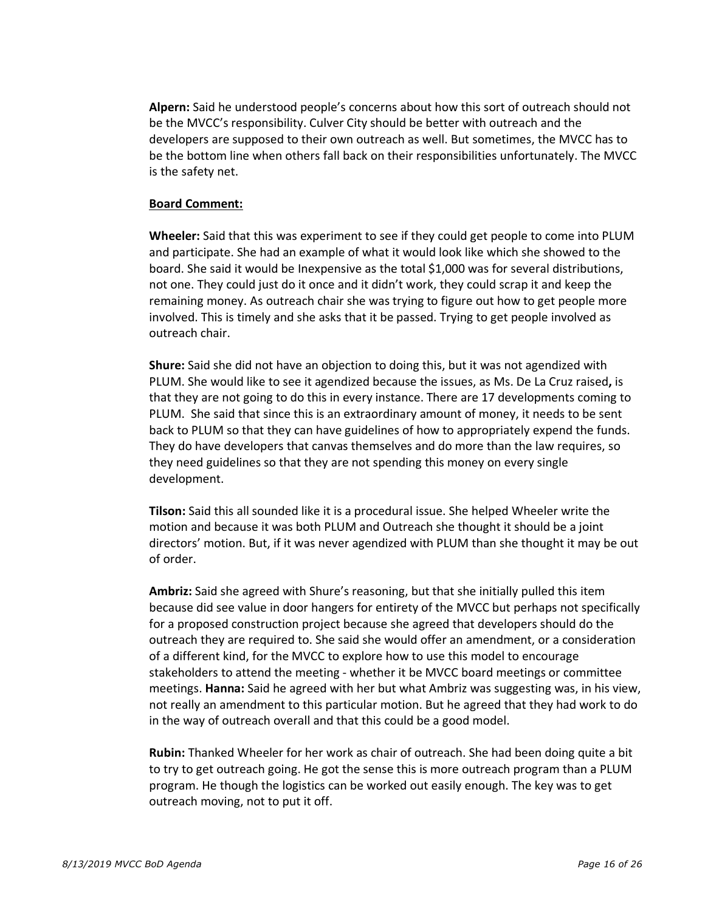Alpern: Said he understood people's concerns about how this sort of outreach should not be the MVCC's responsibility. Culver City should be better with outreach and the developers are supposed to their own outreach as well. But sometimes, the MVCC has to be the bottom line when others fall back on their responsibilities unfortunately. The MVCC is the safety net.

#### **Board Comment:**

**Wheeler:** Said that this was experiment to see if they could get people to come into PLUM and participate. She had an example of what it would look like which she showed to the board. She said it would be Inexpensive as the total \$1,000 was for several distributions, not one. They could just do it once and it didn't work, they could scrap it and keep the remaining money. As outreach chair she was trying to figure out how to get people more involved. This is timely and she asks that it be passed. Trying to get people involved as outreach chair.

**Shure:** Said she did not have an objection to doing this, but it was not agendized with PLUM. She would like to see it agendized because the issues, as Ms. De La Cruz raised**,** is that they are not going to do this in every instance. There are 17 developments coming to PLUM. She said that since this is an extraordinary amount of money, it needs to be sent back to PLUM so that they can have guidelines of how to appropriately expend the funds. They do have developers that canvas themselves and do more than the law requires, so they need guidelines so that they are not spending this money on every single development.

Tilson: Said this all sounded like it is a procedural issue. She helped Wheeler write the motion and because it was both PLUM and Outreach she thought it should be a joint directors' motion. But, if it was never agendized with PLUM than she thought it may be out of order.

Ambriz: Said she agreed with Shure's reasoning, but that she initially pulled this item because did see value in door hangers for entirety of the MVCC but perhaps not specifically for a proposed construction project because she agreed that developers should do the outreach they are required to. She said she would offer an amendment, or a consideration of a different kind, for the MVCC to explore how to use this model to encourage stakeholders to attend the meeting - whether it be MVCC board meetings or committee meetings. **Hanna:** Said he agreed with her but what Ambriz was suggesting was, in his view, not really an amendment to this particular motion. But he agreed that they had work to do in the way of outreach overall and that this could be a good model.

Rubin: Thanked Wheeler for her work as chair of outreach. She had been doing quite a bit to try to get outreach going. He got the sense this is more outreach program than a PLUM program. He though the logistics can be worked out easily enough. The key was to get outreach moving, not to put it off.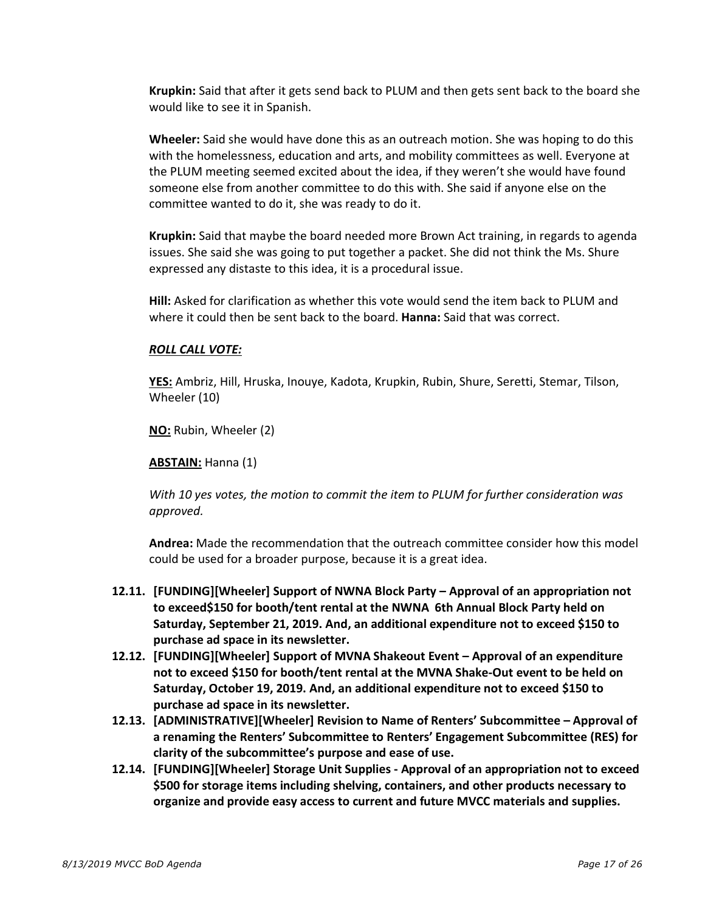**Krupkin:** Said that after it gets send back to PLUM and then gets sent back to the board she would like to see it in Spanish.

Wheeler: Said she would have done this as an outreach motion. She was hoping to do this with the homelessness, education and arts, and mobility committees as well. Everyone at the PLUM meeting seemed excited about the idea, if they weren't she would have found someone else from another committee to do this with. She said if anyone else on the committee wanted to do it, she was ready to do it.

**Krupkin:** Said that maybe the board needed more Brown Act training, in regards to agenda issues. She said she was going to put together a packet. She did not think the Ms. Shure expressed any distaste to this idea, it is a procedural issue.

o **Hill:** Asked for clarification as whether this vote would send the item back to PLUM and where it could then be sent back to the board. **Hanna:** Said that was correct.

### o *ROLL CALL VOTE:*

o **YES:** Ambriz, Hill, Hruska, Inouye, Kadota, Krupkin, Rubin, Shure, Seretti, Stemar, Tilson, Wheeler (10)

**NO:** Rubin, Wheeler (2)

#### ABSTAIN: Hanna (1)

o *With 10 yes votes, the motion to commit the item to PLUM for further consideration was approved.*

Andrea: Made the recommendation that the outreach committee consider how this model could be used for a broader purpose, because it is a great idea.

- **12.11. [FUNDING][Wheeler] Support of NWNA Block Party – Approval of an appropriation not to exceed\$150 for booth/tent rental at the NWNA 6th Annual Block Party held on Saturday, September 21, 2019. And, an additional expenditure not to exceed \$150 to purchase ad space in its newsletter.**
- **12.12. [FUNDING][Wheeler] Support of MVNA Shakeout Event – Approval of an expenditure not to exceed \$150 for booth/tent rental at the MVNA Shake-Out event to be held on Saturday, October 19, 2019. And, an additional expenditure not to exceed \$150 to purchase ad space in its newsletter.**
- **12.13. [ADMINISTRATIVE][Wheeler] Revision to Name of Renters' Subcommittee – Approval of a renaming the Renters' Subcommittee to Renters' Engagement Subcommittee (RES) for clarity of the subcommittee's purpose and ease of use.**
- **12.14. [FUNDING][Wheeler] Storage Unit Supplies - Approval of an appropriation not to exceed \$500 for storage items including shelving, containers, and other products necessary to organize and provide easy access to current and future MVCC materials and supplies.**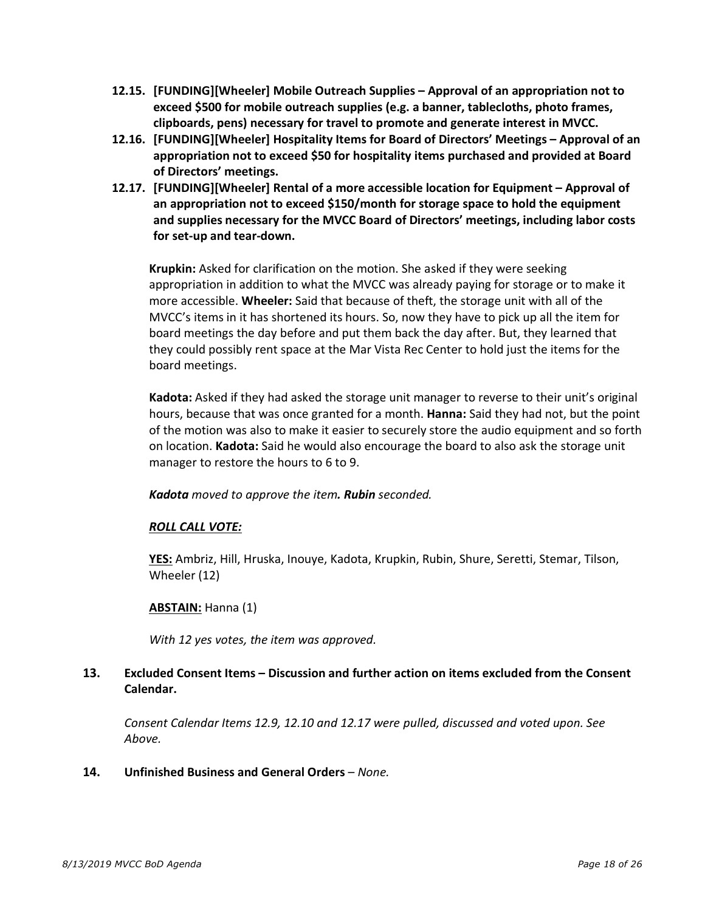- **12.15. [FUNDING][Wheeler] Mobile Outreach Supplies – Approval of an appropriation not to exceed \$500 for mobile outreach supplies (e.g. a banner, tablecloths, photo frames, clipboards, pens) necessary for travel to promote and generate interest in MVCC.**
- **12.16. [FUNDING][Wheeler] Hospitality Items for Board of Directors' Meetings – Approval of an appropriation not to exceed \$50 for hospitality items purchased and provided at Board of Directors' meetings.**
- **12.17. [FUNDING][Wheeler] Rental of a more accessible location for Equipment – Approval of an appropriation not to exceed \$150/month for storage space to hold the equipment and supplies necessary for the MVCC Board of Directors' meetings, including labor costs for set-up and tear-down.**

Krupkin: Asked for clarification on the motion. She asked if they were seeking appropriation in addition to what the MVCC was already paying for storage or to make it more accessible. **Wheeler:** Said that because of theft, the storage unit with all of the MVCC's items in it has shortened its hours. So, now they have to pick up all the item for board meetings the day before and put them back the day after. But, they learned that they could possibly rent space at the Mar Vista Rec Center to hold just the items for the board meetings.

Kadota: Asked if they had asked the storage unit manager to reverse to their unit's original hours, because that was once granted for a month. **Hanna:** Said they had not, but the point of the motion was also to make it easier to securely store the audio equipment and so forth on location. **Kadota:** Said he would also encourage the board to also ask the storage unit manager to restore the hours to 6 to 9.

o *Kadota moved to approve the item. Rubin seconded.* 

# o *ROLL CALL VOTE:*

o **YES:** Ambriz, Hill, Hruska, Inouye, Kadota, Krupkin, Rubin, Shure, Seretti, Stemar, Tilson, Wheeler (12)

### o **ABSTAIN:** Hanna (1)

With 12 yes votes, the *item* was approved.

# **13. Excluded Consent Items – Discussion and further action on items excluded from the Consent Calendar.**

• *Consent Calendar Items 12.9, 12.10 and 12.17 were pulled, discussed and voted upon. See Above.* 

### **14. Unfinished Business and General Orders** – *None.*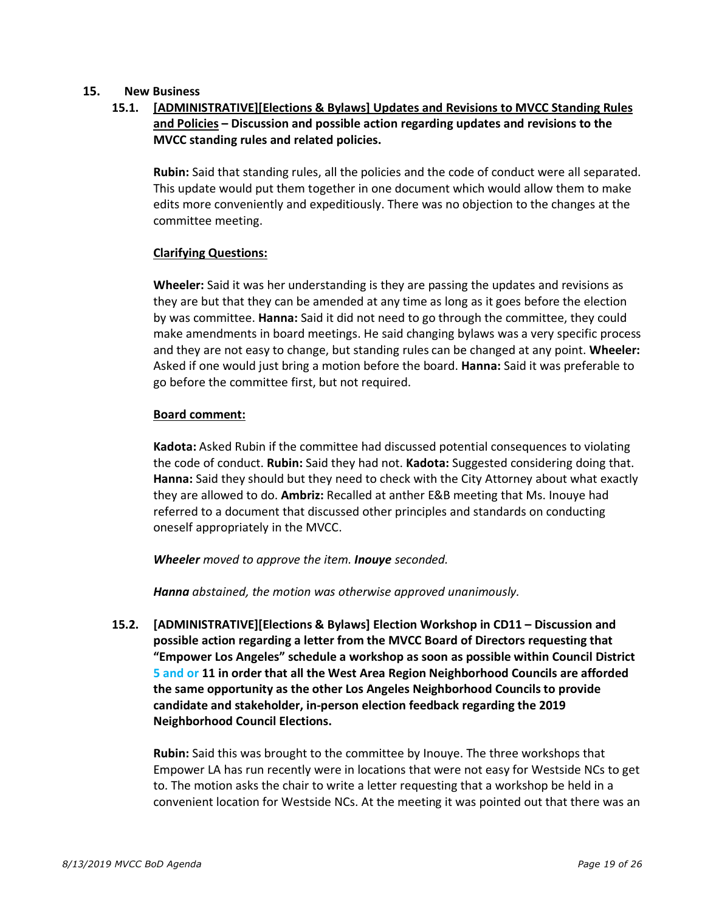### **15. New Business**

# **15.1. [ADMINISTRATIVE][Elections & Bylaws] Updates and Revisions to MVCC Standing Rules and Policies – Discussion and possible action regarding updates and revisions to the MVCC standing rules and related policies.**

o **Rubin:** Said that standing rules, all the policies and the code of conduct were all separated. This update would put them together in one document which would allow them to make edits more conveniently and expeditiously. There was no objection to the changes at the committee meeting.

### **Clarifying Questions:**

**Wheeler:** Said it was her understanding is they are passing the updates and revisions as they are but that they can be amended at any time as long as it goes before the election by was committee. **Hanna:** Said it did not need to go through the committee, they could make amendments in board meetings. He said changing bylaws was a very specific process and they are not easy to change, but standing rules can be changed at any point. **Wheeler:**  Asked if one would just bring a motion before the board. **Hanna:** Said it was preferable to go before the committee first, but not required.

### **Board comment:**

**Kadota:** Asked Rubin if the committee had discussed potential consequences to violating the code of conduct. **Rubin:** Said they had not. **Kadota:** Suggested considering doing that. **Hanna:** Said they should but they need to check with the City Attorney about what exactly they are allowed to do. **Ambriz:** Recalled at anther E&B meeting that Ms. Inouye had referred to a document that discussed other principles and standards on conducting oneself appropriately in the MVCC.

o *Wheeler moved to approve the item. Inouye seconded.* 

o *Hanna abstained, the motion was otherwise approved unanimously.*

**15.2. [ADMINISTRATIVE][Elections & Bylaws] Election Workshop in CD11 – Discussion and possible action regarding a letter from the MVCC Board of Directors requesting that "Empower Los Angeles" schedule a workshop as soon as possible within Council District 5 and or 11 in order that all the West Area Region Neighborhood Councils are afforded the same opportunity as the other Los Angeles Neighborhood Councils to provide candidate and stakeholder, in-person election feedback regarding the 2019 Neighborhood Council Elections.**

Rubin: Said this was brought to the committee by Inouye. The three workshops that Empower LA has run recently were in locations that were not easy for Westside NCs to get to. The motion asks the chair to write a letter requesting that a workshop be held in a convenient location for Westside NCs. At the meeting it was pointed out that there was an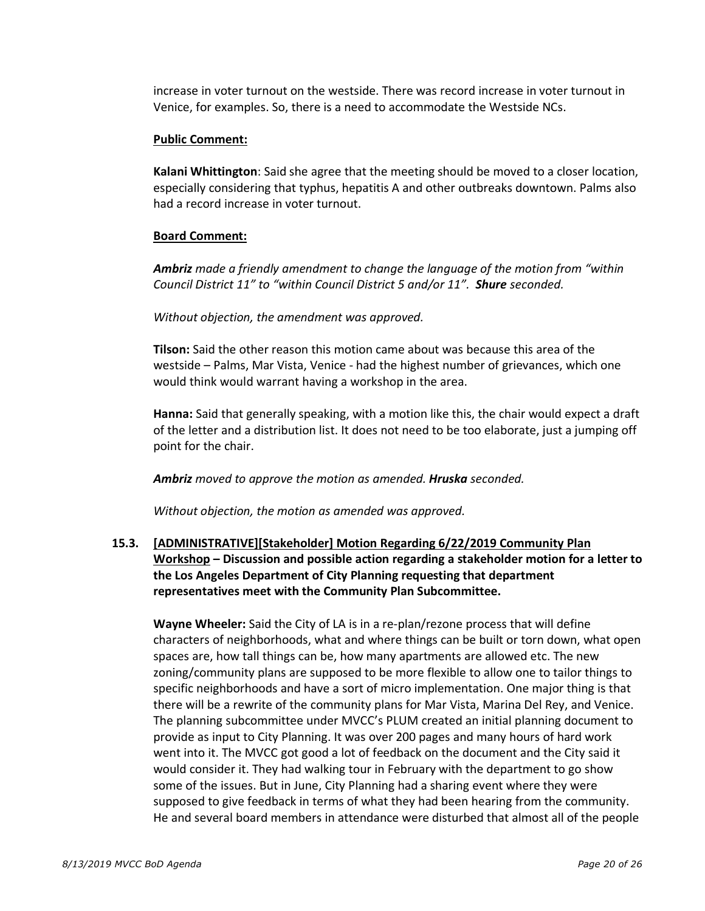increase in voter turnout on the westside. There was record increase in voter turnout in Venice, for examples. So, there is a need to accommodate the Westside NCs.

#### **Public Comment:**

Kalani Whittington: Said she agree that the meeting should be moved to a closer location, especially considering that typhus, hepatitis A and other outbreaks downtown. Palms also had a record increase in voter turnout.

### **Board Comment:**

Ambriz made a friendly amendment to change the language of the motion from "within *Council District 11" to "within Council District 5 and/or 11". Shure seconded.* 

Without objection, the amendment was approved.

**Tilson:** Said the other reason this motion came about was because this area of the westside – Palms, Mar Vista, Venice - had the highest number of grievances, which one would think would warrant having a workshop in the area.

Hanna: Said that generally speaking, with a motion like this, the chair would expect a draft of the letter and a distribution list. It does not need to be too elaborate, just a jumping off point for the chair.

Ambriz moved to approve the motion as amended. Hruska seconded.

Without objection, the motion as amended was approved.

# **15.3. [ADMINISTRATIVE][Stakeholder] Motion Regarding 6/22/2019 Community Plan Workshop – Discussion and possible action regarding a stakeholder motion for a letter to the Los Angeles Department of City Planning requesting that department representatives meet with the Community Plan Subcommittee.**

**Wayne Wheeler:** Said the City of LA is in a re-plan/rezone process that will define characters of neighborhoods, what and where things can be built or torn down, what open spaces are, how tall things can be, how many apartments are allowed etc. The new zoning/community plans are supposed to be more flexible to allow one to tailor things to specific neighborhoods and have a sort of micro implementation. One major thing is that there will be a rewrite of the community plans for Mar Vista, Marina Del Rey, and Venice. The planning subcommittee under MVCC's PLUM created an initial planning document to provide as input to City Planning. It was over 200 pages and many hours of hard work went into it. The MVCC got good a lot of feedback on the document and the City said it would consider it. They had walking tour in February with the department to go show some of the issues. But in June, City Planning had a sharing event where they were supposed to give feedback in terms of what they had been hearing from the community. He and several board members in attendance were disturbed that almost all of the people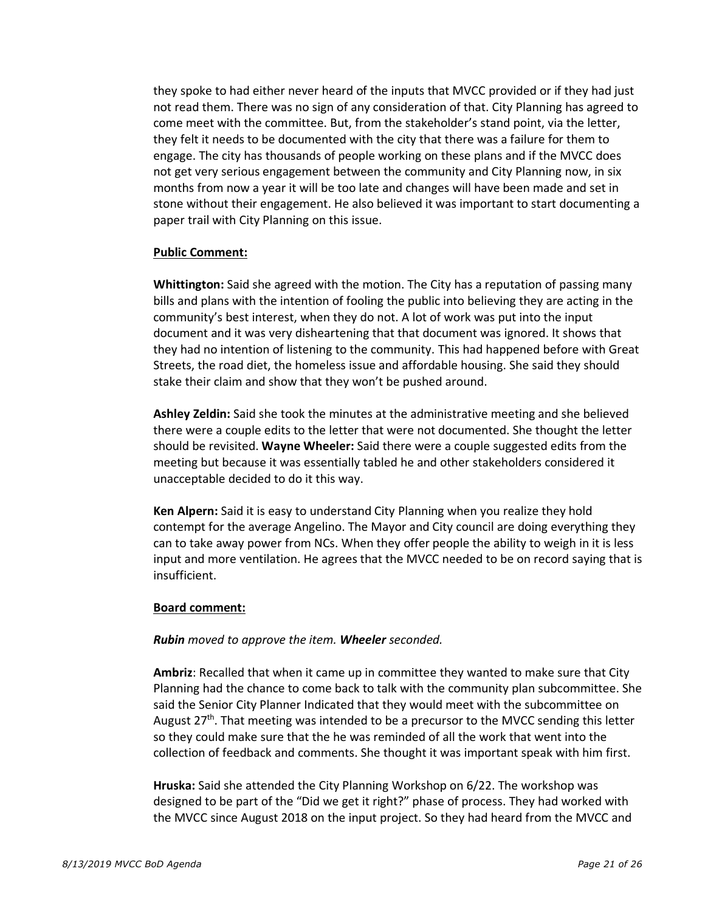they spoke to had either never heard of the inputs that MVCC provided or if they had just not read them. There was no sign of any consideration of that. City Planning has agreed to come meet with the committee. But, from the stakeholder's stand point, via the letter, they felt it needs to be documented with the city that there was a failure for them to engage. The city has thousands of people working on these plans and if the MVCC does not get very serious engagement between the community and City Planning now, in six months from now a year it will be too late and changes will have been made and set in stone without their engagement. He also believed it was important to start documenting a paper trail with City Planning on this issue.

#### **Public Comment:**

Whittington: Said she agreed with the motion. The City has a reputation of passing many bills and plans with the intention of fooling the public into believing they are acting in the community's best interest, when they do not. A lot of work was put into the input document and it was very disheartening that that document was ignored. It shows that they had no intention of listening to the community. This had happened before with Great Streets, the road diet, the homeless issue and affordable housing. She said they should stake their claim and show that they won't be pushed around.

Ashley Zeldin: Said she took the minutes at the administrative meeting and she believed there were a couple edits to the letter that were not documented. She thought the letter should be revisited. **Wayne Wheeler:** Said there were a couple suggested edits from the meeting but because it was essentially tabled he and other stakeholders considered it unacceptable decided to do it this way.

Ken Alpern: Said it is easy to understand City Planning when you realize they hold contempt for the average Angelino. The Mayor and City council are doing everything they can to take away power from NCs. When they offer people the ability to weigh in it is less input and more ventilation. He agrees that the MVCC needed to be on record saying that is insufficient.

#### **Board comment:**

### o *Rubin moved to approve the item. Wheeler seconded.*

Ambriz: Recalled that when it came up in committee they wanted to make sure that City Planning had the chance to come back to talk with the community plan subcommittee. She said the Senior City Planner Indicated that they would meet with the subcommittee on August  $27<sup>th</sup>$ . That meeting was intended to be a precursor to the MVCC sending this letter so they could make sure that the he was reminded of all the work that went into the collection of feedback and comments. She thought it was important speak with him first.

Hruska: Said she attended the City Planning Workshop on 6/22. The workshop was designed to be part of the "Did we get it right?" phase of process. They had worked with the MVCC since August 2018 on the input project. So they had heard from the MVCC and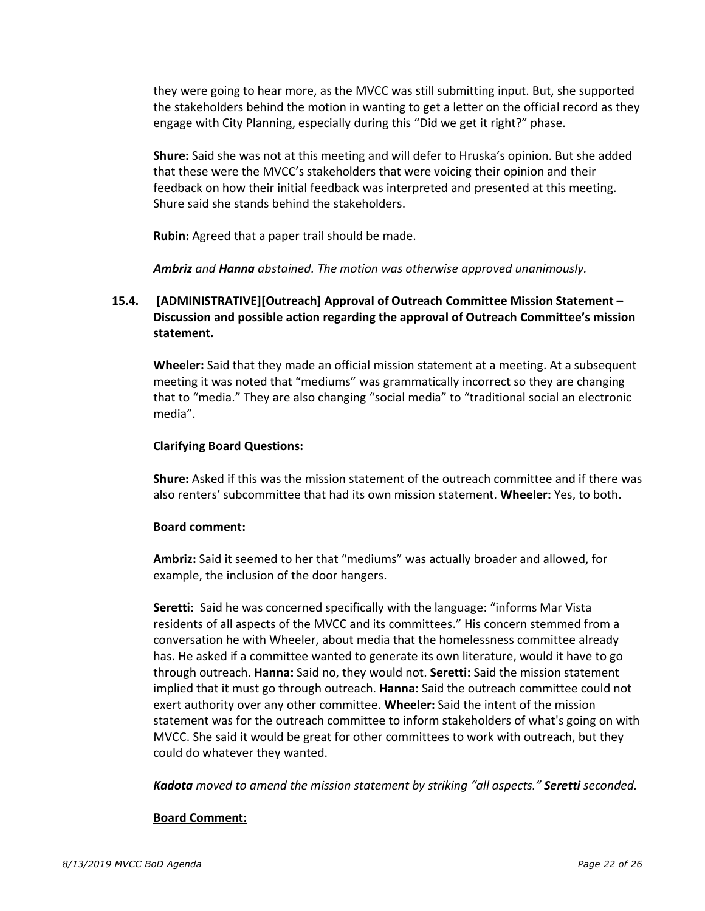they were going to hear more, as the MVCC was still submitting input. But, she supported the stakeholders behind the motion in wanting to get a letter on the official record as they engage with City Planning, especially during this "Did we get it right?" phase.

Shure: Said she was not at this meeting and will defer to Hruska's opinion. But she added that these were the MVCC's stakeholders that were voicing their opinion and their feedback on how their initial feedback was interpreted and presented at this meeting. Shure said she stands behind the stakeholders.

**Rubin:** Agreed that a paper trail should be made.

Ambriz and Hanna *abstained. The motion was otherwise approved unanimously.* 

# **15.4. [ADMINISTRATIVE][Outreach] Approval of Outreach Committee Mission Statement – Discussion and possible action regarding the approval of Outreach Committee's mission statement.**

Wheeler: Said that they made an official mission statement at a meeting. At a subsequent meeting it was noted that "mediums" was grammatically incorrect so they are changing that to "media." They are also changing "social media" to "traditional social an electronic media".

### o **Clarifying Board Questions:**

**Shure:** Asked if this was the mission statement of the outreach committee and if there was also renters' subcommittee that had its own mission statement. **Wheeler:** Yes, to both.

### Board comment:

Ambriz: Said it seemed to her that "mediums" was actually broader and allowed, for example, the inclusion of the door hangers.

Seretti: Said he was concerned specifically with the language: "informs Mar Vista residents of all aspects of the MVCC and its committees." His concern stemmed from a conversation he with Wheeler, about media that the homelessness committee already has. He asked if a committee wanted to generate its own literature, would it have to go through outreach. **Hanna:** Said no, they would not. **Seretti:** Said the mission statement implied that it must go through outreach. **Hanna:** Said the outreach committee could not exert authority over any other committee. **Wheeler:** Said the intent of the mission statement was for the outreach committee to inform stakeholders of what's going on with MVCC. She said it would be great for other committees to work with outreach, but they could do whatever they wanted.

o *Kadota moved to amend the mission statement by striking "all aspects." Seretti seconded.* 

### **Board Comment:**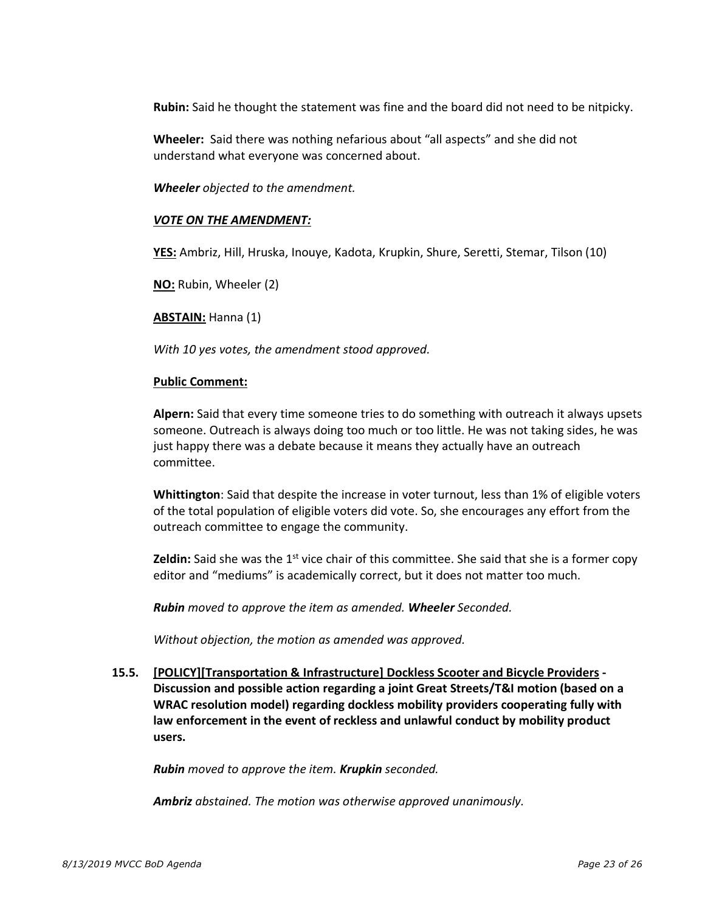Rubin: Said he thought the statement was fine and the board did not need to be nitpicky.

Wheeler: Said there was nothing nefarious about "all aspects" and she did not understand what everyone was concerned about.

*Wheeler objected to the amendment.* 

### **VOTE ON THE AMENDMENT:**

YES: Ambriz, Hill, Hruska, Inouye, Kadota, Krupkin, Shure, Seretti, Stemar, Tilson (10)

**NO:** Rubin, Wheeler (2)

o **ABSTAIN:** Hanna (1)

With 10 yes votes, the amendment stood approved.

#### **Public Comment:**

Alpern: Said that every time someone tries to do something with outreach it always upsets someone. Outreach is always doing too much or too little. He was not taking sides, he was just happy there was a debate because it means they actually have an outreach committee.

Whittington: Said that despite the increase in voter turnout, less than 1% of eligible voters of the total population of eligible voters did vote. So, she encourages any effort from the outreach committee to engage the community.

**Zeldin:** Said she was the 1<sup>st</sup> vice chair of this committee. She said that she is a former copy editor and "mediums" is academically correct, but it does not matter too much.

o *Rubin moved to approve the item as amended. Wheeler Seconded.* 

Without objection, the motion as amended was approved.

**15.5. [POLICY][Transportation & Infrastructure] Dockless Scooter and Bicycle Providers - Discussion and possible action regarding a joint Great Streets/T&I motion (based on a WRAC resolution model) regarding dockless mobility providers cooperating fully with law enforcement in the event of reckless and unlawful conduct by mobility product users.**

o *Rubin moved to approve the item. Krupkin seconded.* 

Ambriz *abstained. The motion was otherwise approved unanimously.*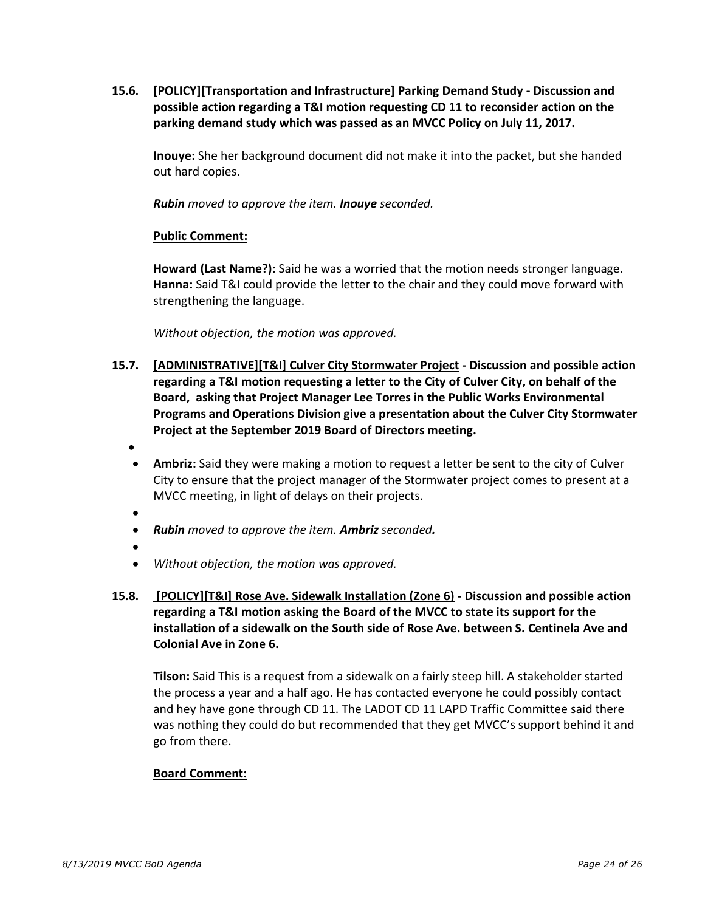**15.6. [POLICY][Transportation and Infrastructure] Parking Demand Study - Discussion and possible action regarding a T&I motion requesting CD 11 to reconsider action on the parking demand study which was passed as an MVCC Policy on July 11, 2017.**

**Inouye:** She her background document did not make it into the packet, but she handed out hard copies.

o *Rubin moved to approve the item. Inouye seconded.* 

### **Public Comment:**

Howard (Last Name?): Said he was a worried that the motion needs stronger language. **Hanna:** Said T&I could provide the letter to the chair and they could move forward with strengthening the language.

Without objection, the motion was approved.

- **15.7. [ADMINISTRATIVE][T&I] Culver City Stormwater Project - Discussion and possible action regarding a T&I motion requesting a letter to the City of Culver City, on behalf of the Board, asking that Project Manager Lee Torres in the Public Works Environmental Programs and Operations Division give a presentation about the Culver City Stormwater Project at the September 2019 Board of Directors meeting.**
	- •
	- **Ambriz:** Said they were making a motion to request a letter be sent to the city of Culver City to ensure that the project manager of the Stormwater project comes to present at a MVCC meeting, in light of delays on their projects.
	- - *Rubin moved to approve the item. Ambriz seconded.*
	- •
	- *Without objection, the motion was approved.*
- **15.8. [POLICY][T&I] Rose Ave. Sidewalk Installation (Zone 6) - Discussion and possible action regarding a T&I motion asking the Board of the MVCC to state its support for the installation of a sidewalk on the South side of Rose Ave. between S. Centinela Ave and Colonial Ave in Zone 6.**

Tilson: Said This is a request from a sidewalk on a fairly steep hill. A stakeholder started the process a year and a half ago. He has contacted everyone he could possibly contact and hey have gone through CD 11. The LADOT CD 11 LAPD Traffic Committee said there was nothing they could do but recommended that they get MVCC's support behind it and go from there.

# **Board Comment:**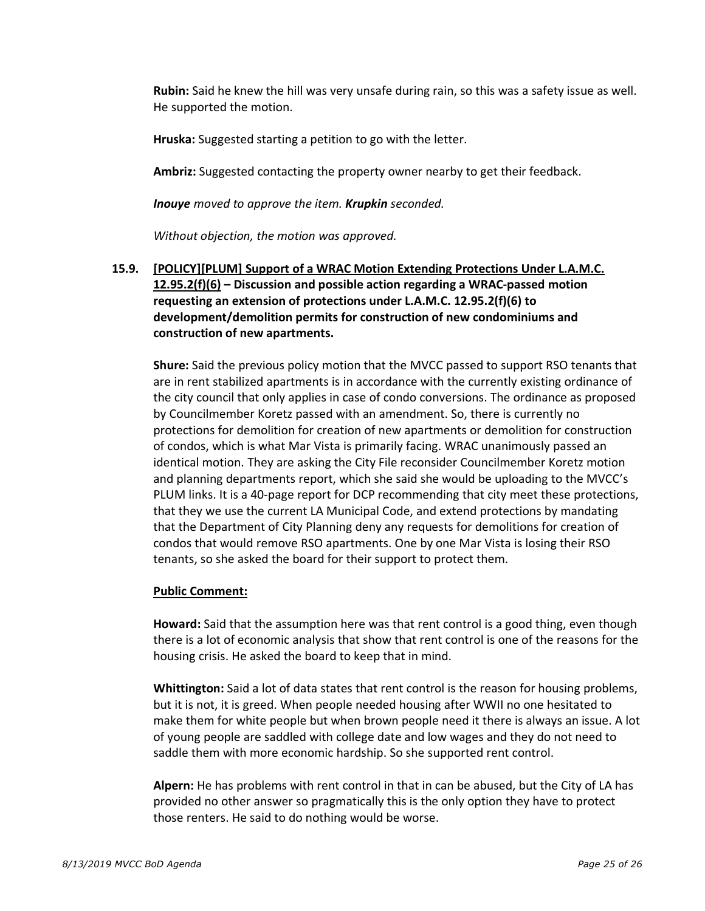Rubin: Said he knew the hill was very unsafe during rain, so this was a safety issue as well. He supported the motion.

Hruska: Suggested starting a petition to go with the letter.

Ambriz: Suggested contacting the property owner nearby to get their feedback.

**Inouye** moved to approve the item. *Krupkin* seconded.

*Without objection, the motion was approved.* 

**15.9. [POLICY][PLUM] Support of a WRAC Motion Extending Protections Under L.A.M.C. 12.95.2(f)(6) – Discussion and possible action regarding a WRAC-passed motion requesting an extension of protections under L.A.M.C. 12.95.2(f)(6) to development/demolition permits for construction of new condominiums and construction of new apartments.**

**Shure:** Said the previous policy motion that the MVCC passed to support RSO tenants that are in rent stabilized apartments is in accordance with the currently existing ordinance of the city council that only applies in case of condo conversions. The ordinance as proposed by Councilmember Koretz passed with an amendment. So, there is currently no protections for demolition for creation of new apartments or demolition for construction of condos, which is what Mar Vista is primarily facing. WRAC unanimously passed an identical motion. They are asking the City File reconsider Councilmember Koretz motion and planning departments report, which she said she would be uploading to the MVCC's PLUM links. It is a 40-page report for DCP recommending that city meet these protections, that they we use the current LA Municipal Code, and extend protections by mandating that the Department of City Planning deny any requests for demolitions for creation of condos that would remove RSO apartments. One by one Mar Vista is losing their RSO tenants, so she asked the board for their support to protect them.

# **Public Comment:**

Howard: Said that the assumption here was that rent control is a good thing, even though there is a lot of economic analysis that show that rent control is one of the reasons for the housing crisis. He asked the board to keep that in mind.

Whittington: Said a lot of data states that rent control is the reason for housing problems, but it is not, it is greed. When people needed housing after WWII no one hesitated to make them for white people but when brown people need it there is always an issue. A lot of young people are saddled with college date and low wages and they do not need to saddle them with more economic hardship. So she supported rent control.

Alpern: He has problems with rent control in that in can be abused, but the City of LA has provided no other answer so pragmatically this is the only option they have to protect those renters. He said to do nothing would be worse.